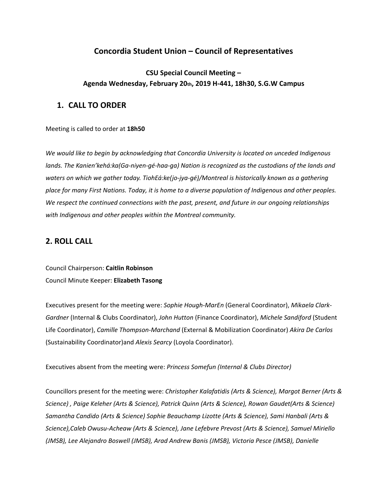# **Concordia Student Union – Council of Representatives**

# **CSU Special Council Meeting – Agenda Wednesday, February 20th, 2019 H-441, 18h30, S.G.W Campus**

# **1. CALL TO ORDER**

Meeting is called to order at **18h50**

*We would like to begin by acknowledging that Concordia University is located on unceded Indigenous lands. The Kanien'kehá:ka(Ga-niyen-gé-haa-ga) Nation is recognized as the custodians of the lands and waters on which we gather today. TiohEá:ke(jo-jya-gé)/Montreal is historically known as a gathering* place for many First Nations. Today, it is home to a diverse population of Indigenous and other peoples. *We respect the continued connections with the past, present, and future in our ongoing relationships with Indigenous and other peoples within the Montreal community.*

# **2. ROLL CALL**

Council Chairperson: **Caitlin Robinson** Council Minute Keeper: **Elizabeth Tasong**

Executives present for the meeting were: *Sophie Hough-MarEn* (General Coordinator), *Mikaela Clark-Gardner* (Internal & Clubs Coordinator), *John Hutton* (Finance Coordinator), *Michele Sandiford* (Student Life Coordinator), *Camille Thompson-Marchand* (External & Mobilization Coordinator) *Akira De Carlos* (Sustainability Coordinator)and *Alexis Searcy* (Loyola Coordinator).

Executives absent from the meeting were: *Princess Somefun (Internal & Clubs Director)*

Councillors present for the meeting were: *Christopher Kalafatidis (Arts & Science), Margot Berner (Arts & Science) , Paige Keleher (Arts & Science), Patrick Quinn (Arts & Science), Rowan Gaudet(Arts & Science) Samantha Candido (Arts & Science) Sophie Beauchamp Lizotte (Arts & Science), Sami Hanbali (Arts & Science),Caleb Owusu-Acheaw (Arts & Science), Jane Lefebvre Prevost (Arts & Science), Samuel Miriello (JMSB), Lee Alejandro Boswell (JMSB), Arad Andrew Banis (JMSB), Victoria Pesce (JMSB), Danielle*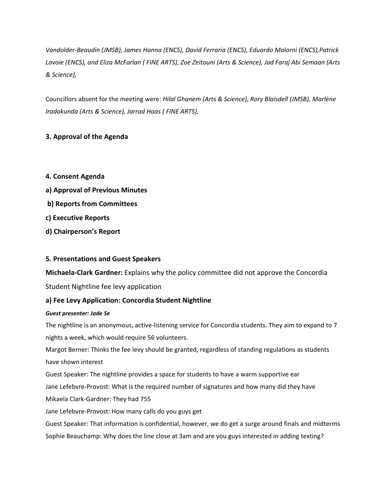*Vandolder-Beaudin (JMSB), James Hanna (ENCS), David Ferraria (ENCS), Eduardo Malorni (ENCS),Patrick* Lavoie (ENCS), and Eliza McFarlan ( FINE ARTS), Zoe Zeitouni (Arts & Science), Jad Faraj Abi Semaan (Arts *& Science),*

Councillors absent for the meeting were: *Hilal Ghanem (Arts & Science), Rory Blaisdell (JMSB), Marlène Iradakunda (Arts & Science), Jarrad Haas ( FINE ARTS),*

## **3. Approval of the Agenda**

- **4. Consent Agenda**
- **a) Approval of Previous Minutes**
- **b) Reports from Committees**
- **c) Executive Reports**
- **d) Chairperson's Report**

## **5. Presentations and Guest Speakers**

**Michaela-Clark Gardner:** Explains why the policy committee did not approve the Concordia Student Nightline fee levy application

## **a) Fee Levy Application: Concordia Student Nightline**

### *Guest presenter: Jade Se*

The nightline is an anonymous, active-listening service for Concordia students. They aim to expand to 7 nights a week, which would require 56 volunteers.

Margot Berner: Thinks the fee levy should be granted, regardless of standing regulations as students have shown interest

Guest Speaker: The nightline provides a space for students to have a warm supportive ear

Jane Lefebvre-Provost: What is the required number of signatures and how many did they have

Mikaela Clark-Gardner: They had 755

Jane Lefebvre-Provost: How many calls do you guys get

Guest Speaker: That information is confidential, however, we do get a surge around finals and midterms

Sophie Beauchamp: Why does the line close at 3am and are you guys interested in adding texting?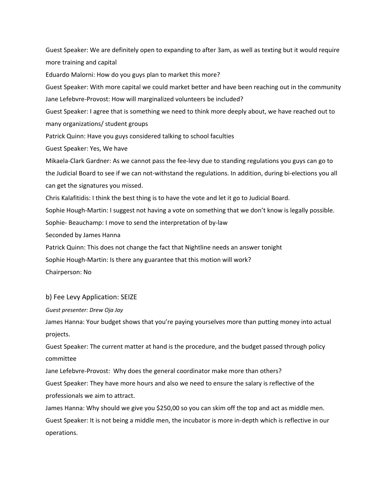Guest Speaker: We are definitely open to expanding to after 3am, as well as texting but it would require more training and capital

Eduardo Malorni: How do you guys plan to market this more?

Guest Speaker: With more capital we could market better and have been reaching out in the community Jane Lefebvre-Provost: How will marginalized volunteers be included?

Guest Speaker: I agree that is something we need to think more deeply about, we have reached out to many organizations/ student groups

Patrick Quinn: Have you guys considered talking to school faculties

Guest Speaker: Yes, We have

Mikaela-Clark Gardner: As we cannot pass the fee-levy due to standing regulations you guys can go to the Judicial Board to see if we can not-withstand the regulations. In addition, during bi-elections you all can get the signatures you missed.

Chris Kalafitidis: I think the best thing is to have the vote and let it go to Judicial Board.

Sophie Hough-Martin: I suggest not having a vote on something that we don't know is legally possible.

Sophie- Beauchamp: I move to send the interpretation of by-law

Seconded by James Hanna

Patrick Quinn: This does not change the fact that Nightline needs an answer tonight

Sophie Hough-Martin: Is there any guarantee that this motion will work?

Chairperson: No

### b) Fee Levy Application: SEIZE

*Guest presenter: Drew Oja Jay*

James Hanna: Your budget shows that you're paying yourselves more than putting money into actual projects.

Guest Speaker: The current matter at hand is the procedure, and the budget passed through policy committee

Jane Lefebvre-Provost: Why does the general coordinator make more than others?

Guest Speaker: They have more hours and also we need to ensure the salary is reflective of the professionals we aim to attract.

James Hanna: Why should we give you \$250,00 so you can skim off the top and act as middle men. Guest Speaker: It is not being a middle men, the incubator is more in-depth which is reflective in our operations.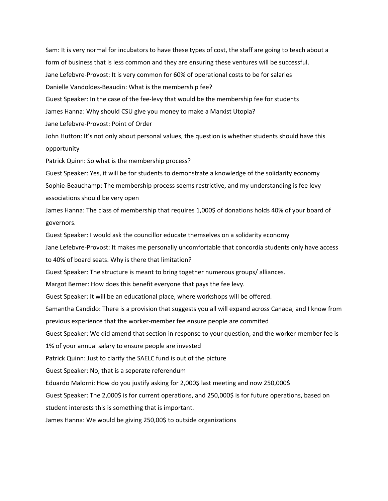Sam: It is very normal for incubators to have these types of cost, the staff are going to teach about a form of business that is less common and they are ensuring these ventures will be successful. Jane Lefebvre-Provost: It is very common for 60% of operational costs to be for salaries Danielle Vandoldes-Beaudin: What is the membership fee? Guest Speaker: In the case of the fee-levy that would be the membership fee for students James Hanna: Why should CSU give you money to make a Marxist Utopia? Jane Lefebvre-Provost: Point of Order John Hutton: It's not only about personal values, the question is whether students should have this opportunity Patrick Quinn: So what is the membership process?

Guest Speaker: Yes, it will be for students to demonstrate a knowledge of the solidarity economy Sophie-Beauchamp: The membership process seems restrictive, and my understanding is fee levy associations should be very open

James Hanna: The class of membership that requires 1,000\$ of donations holds 40% of your board of governors.

Guest Speaker: I would ask the councillor educate themselves on a solidarity economy

Jane Lefebvre-Provost: It makes me personally uncomfortable that concordia students only have access to 40% of board seats. Why is there that limitation?

Guest Speaker: The structure is meant to bring together numerous groups/ alliances.

Margot Berner: How does this benefit everyone that pays the fee levy.

Guest Speaker: It will be an educational place, where workshops will be offered.

Samantha Candido: There is a provision that suggests you all will expand across Canada, and I know from previous experience that the worker-member fee ensure people are commited

Guest Speaker: We did amend that section in response to your question, and the worker-member fee is

1% of your annual salary to ensure people are invested

Patrick Quinn: Just to clarify the SAELC fund is out of the picture

Guest Speaker: No, that is a seperate referendum

Eduardo Malorni: How do you justify asking for 2,000\$ last meeting and now 250,000\$

Guest Speaker: The 2,000\$ is for current operations, and 250,000\$ is for future operations, based on

student interests this is something that is important.

James Hanna: We would be giving 250,00\$ to outside organizations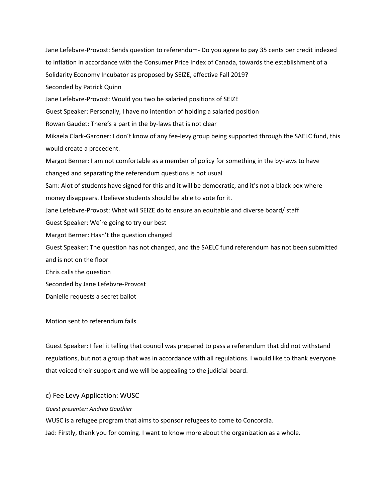Jane Lefebvre-Provost: Sends question to referendum- Do you agree to pay 35 cents per credit indexed to inflation in accordance with the Consumer Price Index of Canada, towards the establishment of a Solidarity Economy Incubator as proposed by SEIZE, effective Fall 2019? Seconded by Patrick Quinn Jane Lefebvre-Provost: Would you two be salaried positions of SEIZE Guest Speaker: Personally, I have no intention of holding a salaried position Rowan Gaudet: There's a part in the by-laws that is not clear Mikaela Clark-Gardner: I don't know of any fee-levy group being supported through the SAELC fund, this would create a precedent. Margot Berner: I am not comfortable as a member of policy for something in the by-laws to have changed and separating the referendum questions is not usual Sam: Alot of students have signed for this and it will be democratic, and it's not a black box where money disappears. I believe students should be able to vote for it. Jane Lefebvre-Provost: What will SEIZE do to ensure an equitable and diverse board/ staff Guest Speaker: We're going to try our best Margot Berner: Hasn't the question changed Guest Speaker: The question has not changed, and the SAELC fund referendum has not been submitted and is not on the floor Chris calls the question Seconded by Jane Lefebvre-Provost Danielle requests a secret ballot

Motion sent to referendum fails

Guest Speaker: I feel it telling that council was prepared to pass a referendum that did not withstand regulations, but not a group that was in accordance with all regulations. I would like to thank everyone that voiced their support and we will be appealing to the judicial board.

### c) Fee Levy Application: WUSC

#### *Guest presenter: Andrea Gauthier*

WUSC is a refugee program that aims to sponsor refugees to come to Concordia. Jad: Firstly, thank you for coming. I want to know more about the organization as a whole.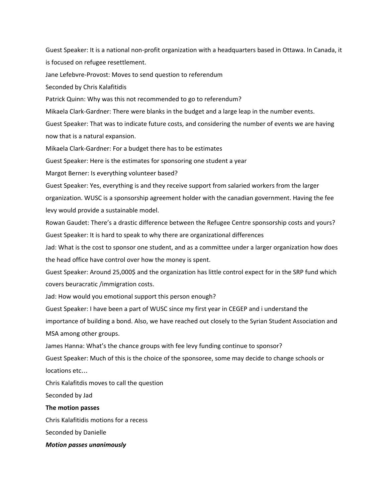Guest Speaker: It is a national non-profit organization with a headquarters based in Ottawa. In Canada, it is focused on refugee resettlement.

Jane Lefebvre-Provost: Moves to send question to referendum

Seconded by Chris Kalafitidis

Patrick Quinn: Why was this not recommended to go to referendum?

Mikaela Clark-Gardner: There were blanks in the budget and a large leap in the number events.

Guest Speaker: That was to indicate future costs, and considering the number of events we are having now that is a natural expansion.

Mikaela Clark-Gardner: For a budget there has to be estimates

Guest Speaker: Here is the estimates for sponsoring one student a year

Margot Berner: Is everything volunteer based?

Guest Speaker: Yes, everything is and they receive support from salaried workers from the larger organization. WUSC is a sponsorship agreement holder with the canadian government. Having the fee levy would provide a sustainable model.

Rowan Gaudet: There's a drastic difference between the Refugee Centre sponsorship costs and yours? Guest Speaker: It is hard to speak to why there are organizational differences

Jad: What is the cost to sponsor one student, and as a committee under a larger organization how does the head office have control over how the money is spent.

Guest Speaker: Around 25,000\$ and the organization has little control expect for in the SRP fund which covers beuracratic /immigration costs.

Jad: How would you emotional support this person enough?

Guest Speaker: I have been a part of WUSC since my first year in CEGEP and i understand the

importance of building a bond. Also, we have reached out closely to the Syrian Student Association and MSA among other groups.

James Hanna: What's the chance groups with fee levy funding continue to sponsor?

Guest Speaker: Much of this is the choice of the sponsoree, some may decide to change schools or locations etc…

Chris Kalafitdis moves to call the question

Seconded by Jad

#### **The motion passes**

Chris Kalafitidis motions for a recess

Seconded by Danielle

#### *Motion passes unanimously*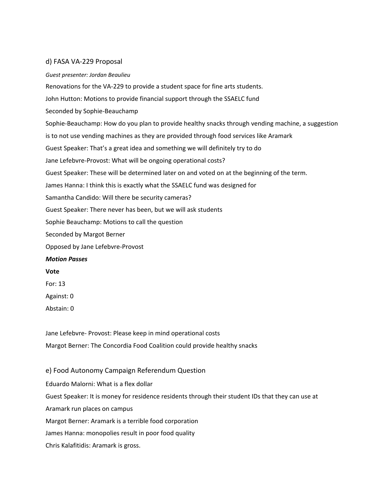### d) FASA VA-229 Proposal

#### *Guest presenter: Jordan Beaulieu*

Renovations for the VA-229 to provide a student space for fine arts students. John Hutton: Motions to provide financial support through the SSAELC fund Seconded by Sophie-Beauchamp Sophie-Beauchamp: How do you plan to provide healthy snacks through vending machine, a suggestion is to not use vending machines as they are provided through food services like Aramark Guest Speaker: That's a great idea and something we will definitely try to do Jane Lefebvre-Provost: What will be ongoing operational costs? Guest Speaker: These will be determined later on and voted on at the beginning of the term. James Hanna: I think this is exactly what the SSAELC fund was designed for Samantha Candido: Will there be security cameras? Guest Speaker: There never has been, but we will ask students Sophie Beauchamp: Motions to call the question Seconded by Margot Berner Opposed by Jane Lefebvre-Provost *Motion Passes* **Vote** For: 13 Against: 0

Abstain: 0

Jane Lefebvre- Provost: Please keep in mind operational costs Margot Berner: The Concordia Food Coalition could provide healthy snacks

e) Food Autonomy Campaign Referendum Question Eduardo Malorni: What is a flex dollar Guest Speaker: It is money for residence residents through their student IDs that they can use at Aramark run places on campus Margot Berner: Aramark is a terrible food corporation James Hanna: monopolies result in poor food quality Chris Kalafitidis: Aramark is gross.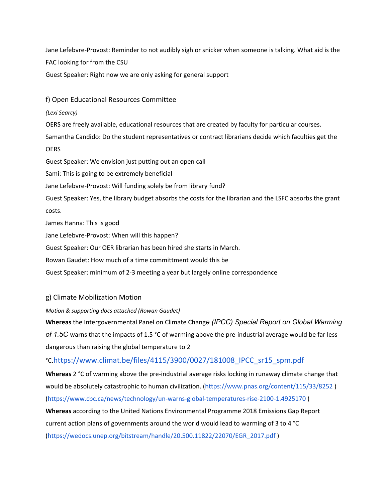Jane Lefebvre-Provost: Reminder to not audibly sigh or snicker when someone is talking. What aid is the FAC looking for from the CSU

Guest Speaker: Right now we are only asking for general support

f) Open Educational Resources Committee

## *(Lexi Searcy)*

OERS are freely available, educational resources that are created by faculty for particular courses.

Samantha Candido: Do the student representatives or contract librarians decide which faculties get the **OERS** 

Guest Speaker: We envision just putting out an open call

Sami: This is going to be extremely beneficial

Jane Lefebvre-Provost: Will funding solely be from library fund?

Guest Speaker: Yes, the library budget absorbs the costs for the librarian and the LSFC absorbs the grant costs.

James Hanna: This is good

Jane Lefebvre-Provost: When will this happen?

Guest Speaker: Our OER librarian has been hired she starts in March.

Rowan Gaudet: How much of a time committment would this be

Guest Speaker: minimum of 2-3 meeting a year but largely online correspondence

## g) Climate Mobilization Motion

*Motion & supporting docs attached (Rowan Gaudet)*

**Whereas** the Intergovernmental Panel on Climate Chang*e (IPCC) Special Report on Global Warming of 1.5C* warns that the impacts of 1.5 °C of warming above the pre-industrial average would be far less dangerous than raising the global temperature to 2

## °C.https://www.climat.be/files/4115/3900/0027/181008\_IPCC\_sr15\_spm.pdf

**Whereas** 2 °C of warming above the pre-industrial average risks locking in runaway climate change that would be absolutely catastrophic to human civilization. (https://www.pnas.org/content/115/33/8252 ) (https://www.cbc.ca/news/technology/un-warns-global-temperatures-rise-2100-1.4925170 )

**Whereas** according to the United Nations Environmental Programme 2018 Emissions Gap Report current action plans of governments around the world would lead to warming of 3 to 4 °C (https://wedocs.unep.org/bitstream/handle/20.500.11822/22070/EGR\_2017.pdf )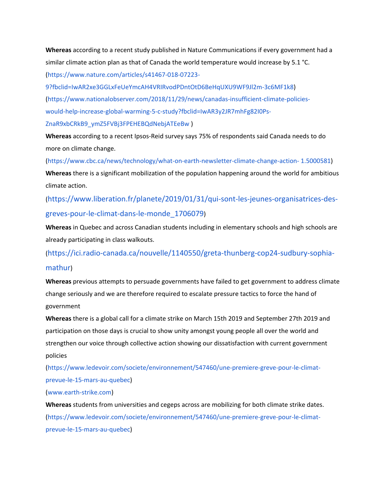**Whereas** according to a recent study published in Nature Communications if every government had a similar climate action plan as that of Canada the world temperature would increase by 5.1 °C. (https://www.nature.com/articles/s41467-018-07223-

9?fbclid=IwAR2xe3GGLxFeUeYmcAH4VRIRvodPDntOtD6BeHqUXU9WF9Jl2m-3c6MF1k8) (https://www.nationalobserver.com/2018/11/29/news/canadas-insufficient-climate-policieswould-help-increase-global-warming-5-c-study?fbclid=IwAR3y2JR7mhFg82I0Ps-ZnaR9xbCRkB9\_ymZ5FVBj3FPEHEBQdNebjATEeBw )

**Whereas** according to a recent Ipsos-Reid survey says 75% of respondents said Canada needs to do more on climate change.

(https://www.cbc.ca/news/technology/what-on-earth-newsletter-climate-change-action- 1.5000581) **Whereas** there is a significant mobilization of the population happening around the world for ambitious climate action.

(https://www.liberation.fr/planete/2019/01/31/qui-sont-les-jeunes-organisatrices-desgreves-pour-le-climat-dans-le-monde\_1706079)

**Whereas** in Quebec and across Canadian students including in elementary schools and high schools are already participating in class walkouts.

(https://ici.radio-canada.ca/nouvelle/1140550/greta-thunberg-cop24-sudbury-sophiamathur)

**Whereas** previous attempts to persuade governments have failed to get government to address climate change seriously and we are therefore required to escalate pressure tactics to force the hand of government

**Whereas** there is a global call for a climate strike on March 15th 2019 and September 27th 2019 and participation on those days is crucial to show unity amongst young people all over the world and strengthen our voice through collective action showing our dissatisfaction with current government policies

(https://www.ledevoir.com/societe/environnement/547460/une-premiere-greve-pour-le-climatprevue-le-15-mars-au-quebec)

(www.earth-strike.com)

**Whereas** students from universities and cegeps across are mobilizing for both climate strike dates. (https://www.ledevoir.com/societe/environnement/547460/une-premiere-greve-pour-le-climatprevue-le-15-mars-au-quebec)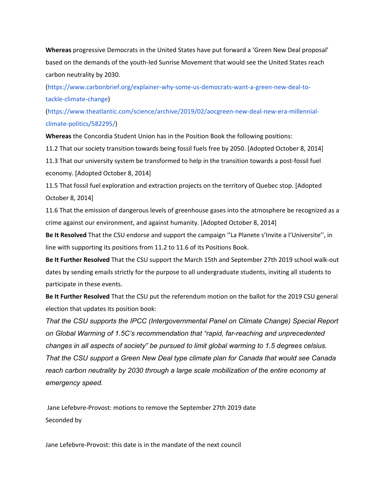**Whereas** progressive Democrats in the United States have put forward a 'Green New Deal proposal' based on the demands of the youth-led Sunrise Movement that would see the United States reach carbon neutrality by 2030.

(https://www.carbonbrief.org/explainer-why-some-us-democrats-want-a-green-new-deal-totackle-climate-change)

(https://www.theatlantic.com/science/archive/2019/02/aocgreen-new-deal-new-era-millennialclimate-politics/582295/)

**Whereas** the Concordia Student Union has in the Position Book the following positions:

11.2 That our society transition towards being fossil fuels free by 2050. [Adopted October 8, 2014] 11.3 That our university system be transformed to help in the transition towards a post-fossil fuel economy. [Adopted October 8, 2014]

11.5 That fossil fuel exploration and extraction projects on the territory of Quebec stop. [Adopted October 8, 2014]

11.6 That the emission of dangerous levels of greenhouse gases into the atmosphere be recognized as a crime against our environment, and against humanity. [Adopted October 8, 2014]

**Be It Resolved** That the CSU endorse and support the campaign ''La Planete s'Invite a l'Universite'', in line with supporting its positions from 11.2 to 11.6 of its Positions Book.

**Be It Further Resolved** That the CSU support the March 15th and September 27th 2019 school walk-out dates by sending emails strictly for the purpose to all undergraduate students, inviting all students to participate in these events.

**Be It Further Resolved** That the CSU put the referendum motion on the ballot for the 2019 CSU general election that updates its position book:

*That the CSU supports the IPCC (Intergovernmental Panel on Climate Change) Special Report on Global Warming of 1.5C's recommendation that "rapid, far-reaching and unprecedented changes in all aspects of society" be pursued to limit global warming to 1.5 degrees celsius. That the CSU support a Green New Deal type climate plan for Canada that would see Canada reach carbon neutrality by 2030 through a large scale mobilization of the entire economy at emergency speed.*

Jane Lefebvre-Provost: motions to remove the September 27th 2019 date Seconded by

Jane Lefebvre-Provost: this date is in the mandate of the next council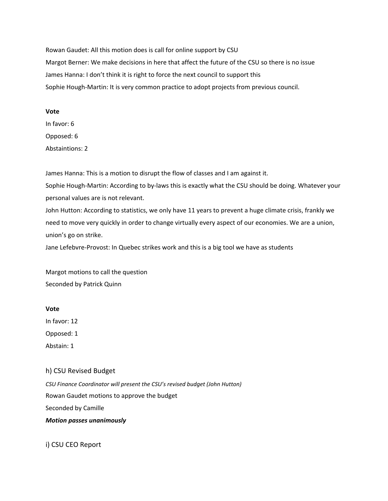Rowan Gaudet: All this motion does is call for online support by CSU Margot Berner: We make decisions in here that affect the future of the CSU so there is no issue James Hanna: I don't think it is right to force the next council to support this Sophie Hough-Martin: It is very common practice to adopt projects from previous council.

#### **Vote**

In favor: 6 Opposed: 6 Abstaintions: 2

James Hanna: This is a motion to disrupt the flow of classes and I am against it.

Sophie Hough-Martin: According to by-laws this is exactly what the CSU should be doing. Whatever your personal values are is not relevant.

John Hutton: According to statistics, we only have 11 years to prevent a huge climate crisis, frankly we need to move very quickly in order to change virtually every aspect of our economies. We are a union, union's go on strike.

Jane Lefebvre-Provost: In Quebec strikes work and this is a big tool we have as students

Margot motions to call the question Seconded by Patrick Quinn

**Vote**

In favor: 12

Opposed: 1

Abstain: 1

h) CSU Revised Budget

*CSU Finance Coordinator will present the CSU's revised budget (John Hutton)* Rowan Gaudet motions to approve the budget Seconded by Camille *Motion passes unanimously*

i) CSU CEO Report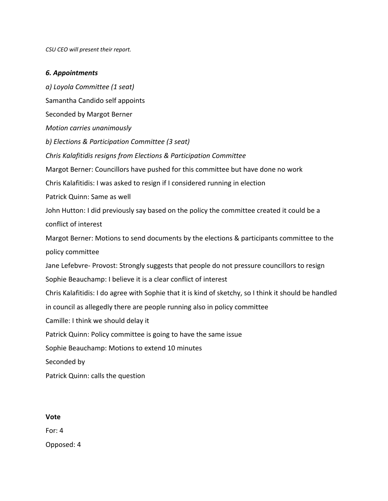*CSU CEO will present their report.*

## *6. Appointments*

*a) Loyola Committee (1 seat)* Samantha Candido self appoints Seconded by Margot Berner *Motion carries unanimously b) Elections & Participation Committee (3 seat) Chris Kalafitidis resigns from Elections & Participation Committee* Margot Berner: Councillors have pushed for this committee but have done no work Chris Kalafitidis: I was asked to resign if I considered running in election Patrick Quinn: Same as well John Hutton: I did previously say based on the policy the committee created it could be a conflict of interest Margot Berner: Motions to send documents by the elections & participants committee to the policy committee Jane Lefebvre- Provost: Strongly suggests that people do not pressure councillors to resign Sophie Beauchamp: I believe it is a clear conflict of interest Chris Kalafitidis: I do agree with Sophie that it is kind of sketchy, so I think it should be handled in council as allegedly there are people running also in policy committee Camille: I think we should delay it Patrick Quinn: Policy committee is going to have the same issue Sophie Beauchamp: Motions to extend 10 minutes Seconded by Patrick Quinn: calls the question

### **Vote**

For: 4

Opposed: 4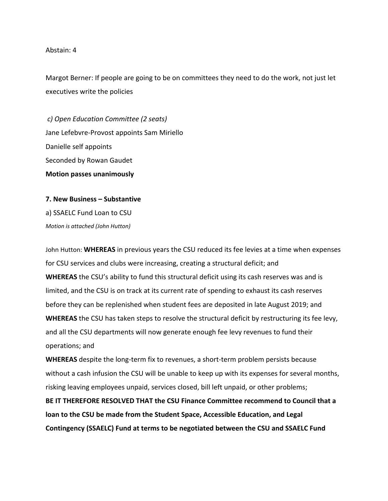### Abstain: 4

Margot Berner: If people are going to be on committees they need to do the work, not just let executives write the policies

 *c) Open Education Committee (2 seats)* Jane Lefebvre-Provost appoints Sam Miriello Danielle self appoints Seconded by Rowan Gaudet **Motion passes unanimously**

**7. New Business – Substantive** a) SSAELC Fund Loan to CSU *Motion is attached (John Hutton)*

John Hutton: **WHEREAS** in previous years the CSU reduced its fee levies at a time when expenses for CSU services and clubs were increasing, creating a structural deficit; and **WHEREAS** the CSU's ability to fund this structural deficit using its cash reserves was and is limited, and the CSU is on track at its current rate of spending to exhaust its cash reserves before they can be replenished when student fees are deposited in late August 2019; and **WHEREAS** the CSU has taken steps to resolve the structural deficit by restructuring its fee levy, and all the CSU departments will now generate enough fee levy revenues to fund their operations; and

**WHEREAS** despite the long-term fix to revenues, a short-term problem persists because without a cash infusion the CSU will be unable to keep up with its expenses for several months, risking leaving employees unpaid, services closed, bill left unpaid, or other problems;

**BE IT THEREFORE RESOLVED THAT the CSU Finance Committee recommend to Council that a loan to the CSU be made from the Student Space, Accessible Education, and Legal Contingency (SSAELC) Fund at terms to be negotiated between the CSU and SSAELC Fund**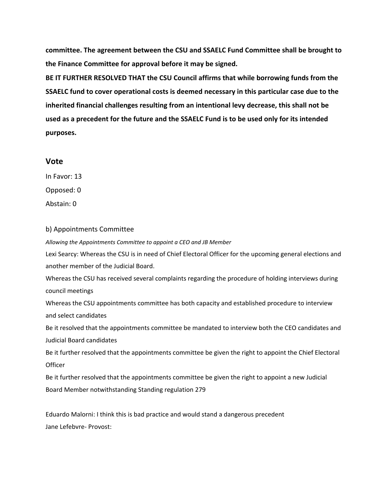**committee. The agreement between the CSU and SSAELC Fund Committee shall be brought to the Finance Committee for approval before it may be signed.**

**BE IT FURTHER RESOLVED THAT the CSU Council affirms that while borrowing funds from the SSAELC fund to cover operational costs is deemed necessary in this particular case due to the inherited financial challenges resulting from an intentional levy decrease, this shall not be used as a precedent for the future and the SSAELC Fund is to be used only for its intended purposes.**

## **Vote**

In Favor: 13

Opposed: 0

Abstain: 0

## b) Appointments Committee

*Allowing the Appointments Committee to appoint a CEO and JB Member*

Lexi Searcy: Whereas the CSU is in need of Chief Electoral Officer for the upcoming general elections and another member of the Judicial Board.

Whereas the CSU has received several complaints regarding the procedure of holding interviews during council meetings

Whereas the CSU appointments committee has both capacity and established procedure to interview and select candidates

Be it resolved that the appointments committee be mandated to interview both the CEO candidates and Judicial Board candidates

Be it further resolved that the appointments committee be given the right to appoint the Chief Electoral **Officer** 

Be it further resolved that the appointments committee be given the right to appoint a new Judicial Board Member notwithstanding Standing regulation 279

Eduardo Malorni: I think this is bad practice and would stand a dangerous precedent Jane Lefebvre- Provost: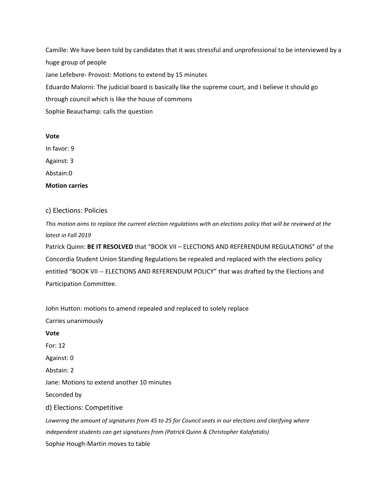Camille: We have been told by candidates that it was stressful and unprofessional to be interviewed by a huge group of people Jane Lefebvre- Provost: Motions to extend by 15 minutes Eduardo Malorni: The judicial board is basically like the supreme court, and I believe it should go through council which is like the house of commons Sophie Beauchamp: calls the question

#### **Vote**

In favor: 9 Against: 3

Abstain:0

**Motion carries**

## c) Elections: Policies

This motion aims to replace the current election regulations with an elections policy that will be reviewed at the *latest in Fall 2019*

Patrick Quinn: **BE IT RESOLVED** that "BOOK VII – ELECTIONS AND REFERENDUM REGULATIONS" of the Concordia Student Union Standing Regulations be repealed and replaced with the elections policy entitled "BOOK VII -- ELECTIONS AND REFERENDUM POLICY" that was drafted by the Elections and Participation Committee.

John Hutton: motions to amend repealed and replaced to solely replace Carries unanimously **Vote** For: 12 Against: 0 Abstain: 2 Jane: Motions to extend another 10 minutes Seconded by d) Elections: Competitive Lowering the amount of signatures from 45 to 25 for Council seats in our elections and clarifying where *independent students can get signatures from (Patrick Quinn & Christopher Kalafatidis)* Sophie Hough-Martin moves to table